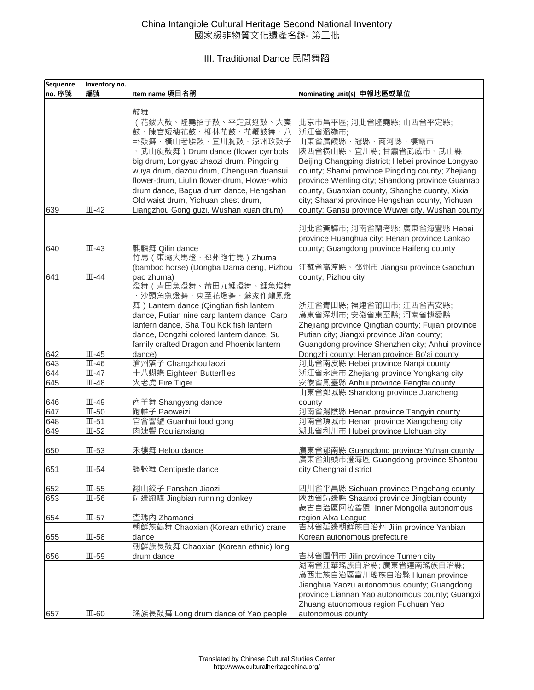## China Intangible Cultural Heritage Second National Inventory 國家級非物質文化遺產名錄- 第二批

III. Traditional Dance 民間舞蹈

| <b>Sequence</b> | Inventory no.                |                                                                                                                                                                                                                                                                                                                                                                                   |                                                                                                                                                                                                                                                                                                                                                                                                            |
|-----------------|------------------------------|-----------------------------------------------------------------------------------------------------------------------------------------------------------------------------------------------------------------------------------------------------------------------------------------------------------------------------------------------------------------------------------|------------------------------------------------------------------------------------------------------------------------------------------------------------------------------------------------------------------------------------------------------------------------------------------------------------------------------------------------------------------------------------------------------------|
| no. 序號          | 編號                           | Item name 項目名稱                                                                                                                                                                                                                                                                                                                                                                    | Nominating unit(s) 申報地區或單位                                                                                                                                                                                                                                                                                                                                                                                 |
| 639             | $\overline{\mathbb{II}}$ -42 | 鼓舞<br>(花鈸大鼓、隆堯招子鼓、平定武迓鼓、大奏<br>鼓、陳官短穗花鼓、柳林花鼓、花鞭鼓舞、八<br>卦鼓舞、橫山老腰鼓、宜川胸鼓、涼州攻鼓子<br>、武山旋鼓舞) Drum dance (flower cymbols<br>big drum, Longyao zhaozi drum, Pingding<br>wuya drum, dazou drum, Chenguan duansui<br>flower-drum, Liulin flower-drum, Flower-whip<br>drum dance, Bagua drum dance, Hengshan<br>Old waist drum, Yichuan chest drum,<br>Liangzhou Gong guzi, Wushan xuan drum) | 北京市昌平區; 河北省隆堯縣; 山西省平定縣;<br>浙江省溫嶺市;<br>山東省廣饒縣、冠縣、商河縣、棲霞市;<br>陝西省橫山縣、宜川縣; 甘肅省武威市、武山縣<br>Beijing Changping district; Hebei province Longyao<br>county; Shanxi province Pingding county; Zhejiang<br>province Wenling city; Shandong province Guanrao<br>county, Guanxian county, Shanghe cuonty, Xixia<br>city; Shaanxi province Hengshan county, Yichuan<br>county; Gansu province Wuwei city, Wushan county |
| 640             | $III -43$                    | 麒麟舞 Qilin dance                                                                                                                                                                                                                                                                                                                                                                   | 河北省黃驊市; 河南省蘭考縣; 廣東省海豐縣 Hebei<br>province Huanghua city; Henan province Lankao<br>county; Guangdong province Haifeng county                                                                                                                                                                                                                                                                                 |
|                 |                              | 竹馬 (東壩大馬燈、邳州跑竹馬) Zhuma<br>(bamboo horse) (Dongba Dama deng, Pizhou                                                                                                                                                                                                                                                                                                                | 江蘇省高淳縣、邳州市 Jiangsu province Gaochun                                                                                                                                                                                                                                                                                                                                                                        |
| 641             | $\overline{\mathbb{II}}$ -44 | pao zhuma)                                                                                                                                                                                                                                                                                                                                                                        | county, Pizhou city                                                                                                                                                                                                                                                                                                                                                                                        |
|                 |                              | 燈舞(青田魚燈舞、莆田九鯉燈舞、鯉魚燈舞<br>、沙頭角魚燈舞、東至花燈舞、蘇家作龍鳳燈<br>舞) Lantern dance (Qingtian fish lantern<br>dance, Putian nine carp lantern dance, Carp<br>lantern dance, Sha Tou Kok fish lantern<br>dance, Dongzhi colored lantern dance, Su<br>family crafted Dragon and Phoenix lantern                                                                                                        | 浙江省青田縣;福建省莆田市;江西省吉安縣;<br>廣東省深圳市; 安徽省東至縣; 河南省博愛縣<br>Zhejiang province Qingtian county; Fujian province<br>Putian city; Jiangxi province Ji'an county;<br>Guangdong province Shenzhen city; Anhui province                                                                                                                                                                                                   |
| 642             | $III -45$                    | dance)                                                                                                                                                                                                                                                                                                                                                                            | Dongzhi county; Henan province Bo'ai county                                                                                                                                                                                                                                                                                                                                                                |
| 643             | $III - 46$                   | 滄州落子 Changzhou laozi                                                                                                                                                                                                                                                                                                                                                              | 河北省南皮縣 Hebei province Nanpi county                                                                                                                                                                                                                                                                                                                                                                         |
| 644             | $III -47$                    | 十八蝴蝶 Eighteen Butterflies                                                                                                                                                                                                                                                                                                                                                         | 浙江省永康市 Zhejiang province Yongkang city                                                                                                                                                                                                                                                                                                                                                                     |
| 645             | $III -48$                    | 火老虎 Fire Tiger                                                                                                                                                                                                                                                                                                                                                                    | 安徽省鳳臺縣 Anhui province Fengtai county                                                                                                                                                                                                                                                                                                                                                                       |
| 646             | $III -49$                    | 商羊舞 Shangyang dance                                                                                                                                                                                                                                                                                                                                                               | 山東省鄄城縣 Shandong province Juancheng<br>county                                                                                                                                                                                                                                                                                                                                                               |
| 647             | $III - 50$                   | 跑帷子 Paoweizi                                                                                                                                                                                                                                                                                                                                                                      | 河南省湯陰縣 Henan province Tangyin county                                                                                                                                                                                                                                                                                                                                                                       |
| 648             | $III-51$                     | 官會響鑼 Guanhui loud gong                                                                                                                                                                                                                                                                                                                                                            | 河南省項城市 Henan province Xiangcheng city                                                                                                                                                                                                                                                                                                                                                                      |
| 649             | $III - 52$                   | 肉連響 Roulianxiang                                                                                                                                                                                                                                                                                                                                                                  | 湖北省利川市 Hubei province Llchuan city                                                                                                                                                                                                                                                                                                                                                                         |
| 650             | $III - 53$                   | 禾樓舞 Helou dance                                                                                                                                                                                                                                                                                                                                                                   | 廣東省郁南縣 Guangdong province Yu'nan county<br>廣東省汕頭市澄海區 Guangdong province Shantou                                                                                                                                                                                                                                                                                                                            |
| 651             | $III - 54$                   | 蜈蚣舞 Centipede dance                                                                                                                                                                                                                                                                                                                                                               | city Chenghai district                                                                                                                                                                                                                                                                                                                                                                                     |
| 652             | $III - 55$                   | 翻山鉸子 Fanshan Jiaozi                                                                                                                                                                                                                                                                                                                                                               | 四川省平昌縣 Sichuan province Pingchang county                                                                                                                                                                                                                                                                                                                                                                   |
| 653             | $\overline{\mathbb{II}}$ -56 | 靖邊跑驢 Jingbian running donkey                                                                                                                                                                                                                                                                                                                                                      | 陝西省靖邊縣 Shaanxi province Jingbian county                                                                                                                                                                                                                                                                                                                                                                    |
| 654             | $III-57$                     | 查瑪內 Zhamanei                                                                                                                                                                                                                                                                                                                                                                      | 蒙古自治區阿拉善盟 Inner Mongolia autonomous<br>region Alxa League                                                                                                                                                                                                                                                                                                                                                  |
|                 |                              | 朝鮮族鶴舞 Chaoxian (Korean ethnic) crane                                                                                                                                                                                                                                                                                                                                              | 吉林省延邊朝鮮族自治州 Jilin province Yanbian                                                                                                                                                                                                                                                                                                                                                                         |
| 655             | $III - 58$                   | dance                                                                                                                                                                                                                                                                                                                                                                             | Korean autonomous prefecture                                                                                                                                                                                                                                                                                                                                                                               |
| 656             | $III-59$                     | 朝鮮族長鼓舞 Chaoxian (Korean ethnic) long<br>drum dance                                                                                                                                                                                                                                                                                                                                | 吉林省圖們市 Jilin province Tumen city                                                                                                                                                                                                                                                                                                                                                                           |
| 657             | $\mathbb{II}$ -60            | 瑤族長鼓舞 Long drum dance of Yao people                                                                                                                                                                                                                                                                                                                                               | 湖南省江華瑤族自治縣; 廣東省連南瑤族自治縣;<br>廣西壯族自治區富川瑤族自治縣 Hunan province<br>Jianghua Yaozu autonomous county; Guangdong<br>province Liannan Yao autonomous county; Guangxi<br>Zhuang atuonomous region Fuchuan Yao<br>autonomous county                                                                                                                                                                                    |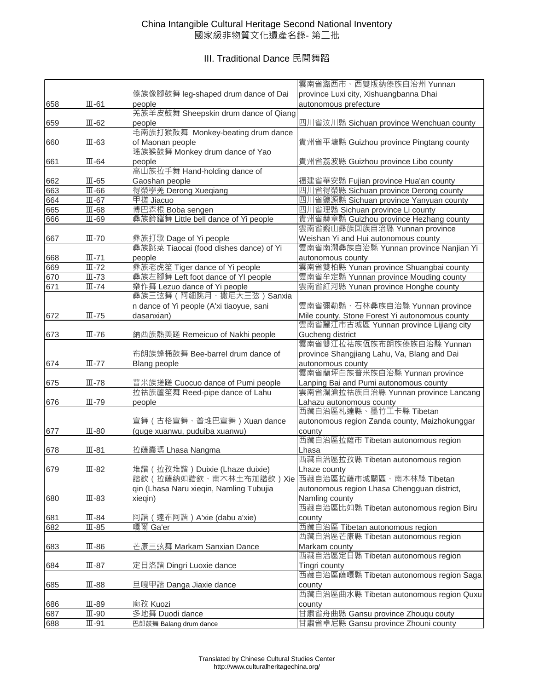## China Intangible Cultural Heritage Second National Inventory 國家級非物質文化遺產名錄- 第二批

# III. Traditional Dance 民間舞蹈

|     |                              |                                                     | 雲南省潞西市、西雙版納傣族自治州 Yunnan                        |
|-----|------------------------------|-----------------------------------------------------|------------------------------------------------|
|     |                              | 傣族像腳鼓舞 leg-shaped drum dance of Dai                 | province Luxi city, Xishuangbanna Dhai         |
| 658 | $\overline{\mathbb{II}}$ -61 | people                                              | autonomous prefecture                          |
|     |                              | 羌族羊皮鼓舞 Sheepskin drum dance of Qiang                |                                                |
| 659 | $III - 62$                   | people                                              | 四川省汶川縣 Sichuan province Wenchuan county        |
|     |                              | 毛南族打猴鼓舞 Monkey-beating drum dance                   |                                                |
| 660 | $III - 63$                   | of Maonan people                                    | 貴州省平塘縣 Guizhou province Pingtang county        |
|     |                              | 瑤族猴鼓舞 Monkey drum dance of Yao                      |                                                |
| 661 | $III-64$                     | people                                              | 貴州省荔波縣 Guizhou province Libo county            |
|     |                              | 高山族拉手舞 Hand-holding dance of                        |                                                |
| 662 | $III-65$                     | Gaoshan people                                      | 福建省華安縣 Fujian province Hua'an county           |
| 663 | $III - 66$                   | 得榮學羌 Derong Xueqiang                                | 四川省得榮縣 Sichuan province Derong county          |
| 664 | $III-67$                     | 甲搓 Jiacuo                                           | 四川省鹽源縣 Sichuan province Yanyuan county         |
| 665 | $III-68$                     | 博巴森根 Boba sengen                                    | 四川省理縣 Sichuan province Li county               |
| 666 | $III - 69$                   | 彝族鈴鐺舞 Little bell dance of Yi people                | 貴州省赫章縣 Guizhou province Hezhang county         |
|     |                              |                                                     | 雲南省巍山彝族回族自治縣 Yunnan province                   |
| 667 | $III - 70$                   | 彝族打歌 Dage of Yi people                              | Weishan Yi and Hui autonomous county           |
|     |                              | 彝族跳菜 Tiaocai (food dishes dance) of Yi              | 雲南省南澗彝族自治縣 Yunnan province Nanjian Yi          |
| 668 | $III - 71$                   | people                                              | autonomous county                              |
| 669 | $\overline{\mathbb{II}}$ -72 | 彝族老虎笙 Tiger dance of Yi people                      | 雲南省雙柏縣 Yunan province Shuangbai county         |
| 670 | $III - 73$                   | 彝族左腳舞 Left foot dance of YI people                  | 雲南省牟定縣 Yunnan province Mouding county          |
| 671 | $\overline{\mathbb{II}}$ -74 | 樂作舞 Lezuo dance of Yi people                        | 雲南省紅河縣 Yunan province Honghe county            |
|     |                              | 彝族三弦舞(阿細跳月、撒尼大三弦)Sanxia                             |                                                |
|     |                              | n dance of Yi people (A'xi tiaoyue, sani            | 雲南省彌勒縣、石林彝族自治縣 Yunnan province                 |
| 672 | $III - 75$                   | dasanxian)                                          | Mile county, Stone Forest Yi autonomous county |
|     |                              |                                                     | 雲南省麗江市古城區 Yunnan province Lijiang city         |
| 673 | $III - 76$                   | 納西族熱美蹉 Remeicuo of Nakhi people                     | Gucheng district                               |
|     |                              |                                                     | 雲南省雙江拉祜族佤族布朗族傣族自治縣 Yunnan                      |
|     |                              | 布朗族蜂桶鼓舞 Bee-barrel drum dance of                    | province Shangjiang Lahu, Va, Blang and Dai    |
| 674 | $III - 77$                   | Blang people                                        | autonomous county                              |
|     |                              |                                                     | 雲南省蘭坪白族普米族自治縣 Yunnan province                  |
| 675 | $III - 78$                   | 普米族搓蹉 Cuocuo dance of Pumi people                   | Lanping Bai and Pumi autonomous county         |
|     |                              | 拉祜族蘆笙舞 Reed-pipe dance of Lahu                      | 雲南省瀾滄拉祜族自治縣 Yunnan province Lancang            |
| 676 | $III - 79$                   | people                                              | Lahazu autonomous county                       |
|     |                              |                                                     | 西藏自治區札達縣、墨竹工卡縣 Tibetan                         |
|     |                              | 宣舞 (古格宣舞、普堆巴宣舞) Xuan dance                          | autonomous region Zanda county, Maizhokunggar  |
| 677 | $III - 80$                   | (guge xuanwu, puduiba xuanwu)                       | county                                         |
|     |                              |                                                     | 西藏自治區拉薩市 Tibetan autonomous region             |
| 678 | $III-81$                     | 拉薩囊瑪 Lhasa Nangma                                   | Lhasa                                          |
|     |                              |                                                     | 西藏自治區拉孜縣 Tibetan autonomous region             |
| 679 | $III - 82$                   | 堆諧 (拉孜堆諧) Duixie (Lhaze duixie)                     | Lhaze county                                   |
|     |                              | 諧欽 ( 拉薩納如諧欽、南木林土布加諧欽 ) Xie 西藏自治區拉薩市城關區、南木林縣 Tibetan |                                                |
|     |                              | qin (Lhasa Naru xieqin, Namling Tubujia             | autonomous region Lhasa Chengguan district,    |
| 680 | $III - 83$                   | xieqin)                                             | Namling county                                 |
|     |                              |                                                     | 西藏自治區比如縣 Tibetan autonomous region Biru        |
| 681 | $III - 84$                   | 阿諧 (達布阿諧) A'xie (dabu a'xie)                        | county                                         |
| 682 | $\overline{\mathbb{II}}$ -85 | 嘎爾 Ga'er                                            | 西藏自治區 Tibetan autonomous region                |
|     |                              |                                                     | 西藏自治區芒康縣 Tibetan autonomous region             |
| 683 | $III-86$                     | 芒康三弦舞 Markam Sanxian Dance                          | Markam county                                  |
|     |                              |                                                     | 西藏自治區定日縣 Tibetan autonomous region             |
| 684 | $III-87$                     | 定日洛諧 Dingri Luoxie dance                            | Tingri county                                  |
|     |                              |                                                     | 西藏自治區薩嘎縣 Tibetan autonomous region Saga        |
| 685 | $III-88$                     | 旦嘎甲諧 Danga Jiaxie dance                             | county                                         |
|     |                              |                                                     | 西藏自治區曲水縣 Tibetan autonomous region Quxu        |
| 686 | $III-89$                     | 廓孜 Kuozi                                            | county                                         |
| 687 | $\mathbb{II}$ -90            | 多地舞 Duodi dance                                     | 甘肅省舟曲縣 Gansu province Zhouqu couty             |
| 688 | $III-91$                     | 巴郎鼓舞 Balang drum dance                              | 甘肅省卓尼縣 Gansu province Zhouni county            |